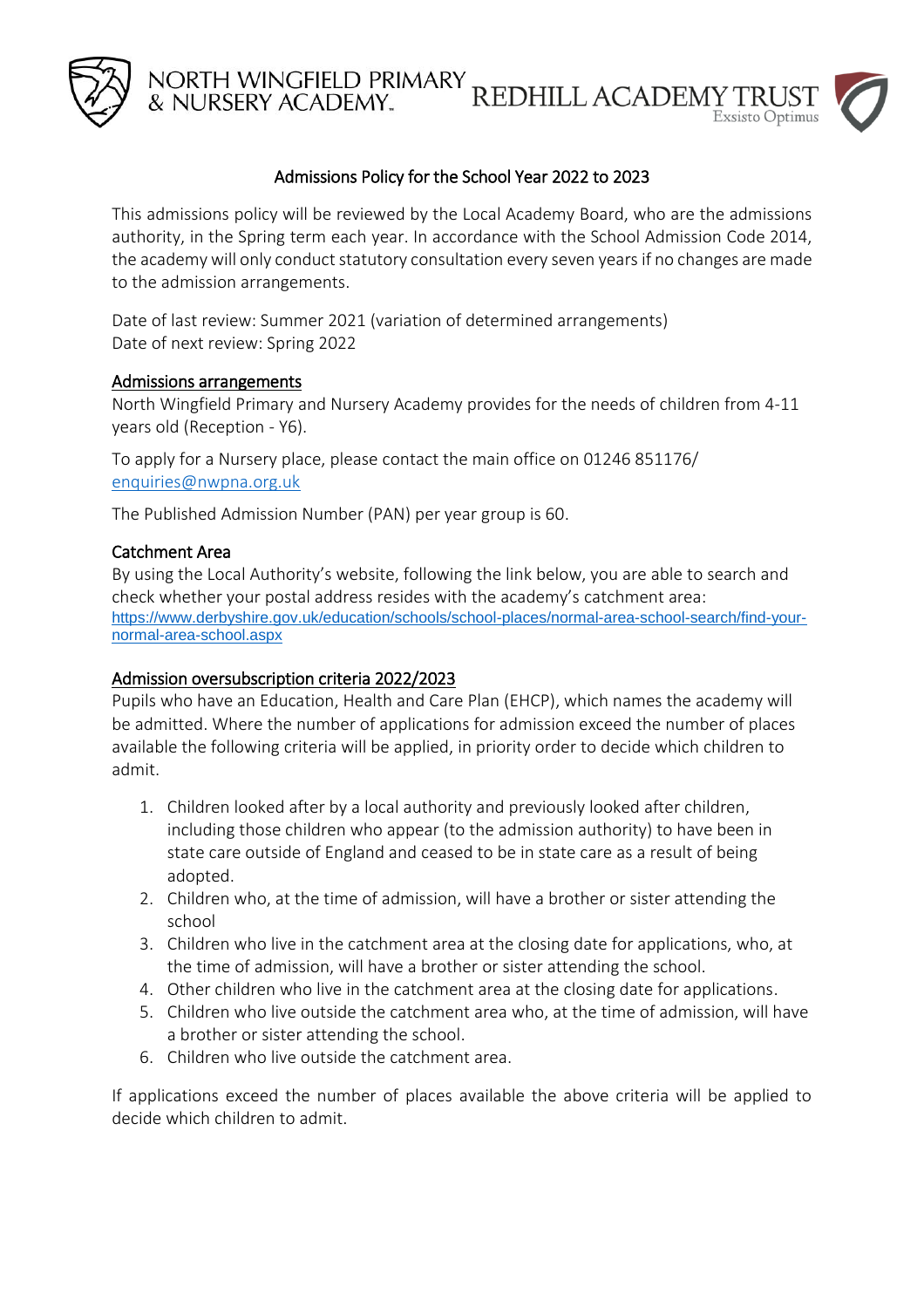

NORTH WINGFIELD PRIMARY<br>& NURSERY ACADEMY. REDHILL ACADEMY TRUST  $Exsisto$  Optimus

### Admissions Policy for the School Year 2022 to 2023

This admissions policy will be reviewed by the Local Academy Board, who are the admissions authority, in the Spring term each year. In accordance with the School Admission Code 2014, the academy will only conduct statutory consultation every seven years if no changes are made to the admission arrangements.

Date of last review: Summer 2021 (variation of determined arrangements) Date of next review: Spring 2022

#### Admissions arrangements

North Wingfield Primary and Nursery Academy provides for the needs of children from 4-11 years old (Reception - Y6).

To apply for a Nursery place, please contact the main office on 01246 851176/ [enquiries@nwpna.org.uk](mailto:enquiries@nwpna.org.uk)

The Published Admission Number (PAN) per year group is 60.

#### Catchment Area

By using the Local Authority's website, following the link below, you are able to search and check whether your postal address resides with the academy's catchment area: [https://www.derbyshire.gov.uk/education/schools/school-places/normal-area-school-search/find-your](https://www.derbyshire.gov.uk/education/schools/school-places/normal-area-school-search/find-your-normal-area-school.aspx)[normal-area-school.aspx](https://www.derbyshire.gov.uk/education/schools/school-places/normal-area-school-search/find-your-normal-area-school.aspx)

### Admission oversubscription criteria 2022/2023

Pupils who have an Education, Health and Care Plan (EHCP), which names the academy will be admitted. Where the number of applications for admission exceed the number of places available the following criteria will be applied, in priority order to decide which children to admit.

- 1. Children looked after by a local authority and previously looked after children, including those children who appear (to the admission authority) to have been in state care outside of England and ceased to be in state care as a result of being adopted.
- 2. Children who, at the time of admission, will have a brother or sister attending the school
- 3. Children who live in the catchment area at the closing date for applications, who, at the time of admission, will have a brother or sister attending the school.
- 4. Other children who live in the catchment area at the closing date for applications.
- 5. Children who live outside the catchment area who, at the time of admission, will have a brother or sister attending the school.
- 6. Children who live outside the catchment area.

If applications exceed the number of places available the above criteria will be applied to decide which children to admit.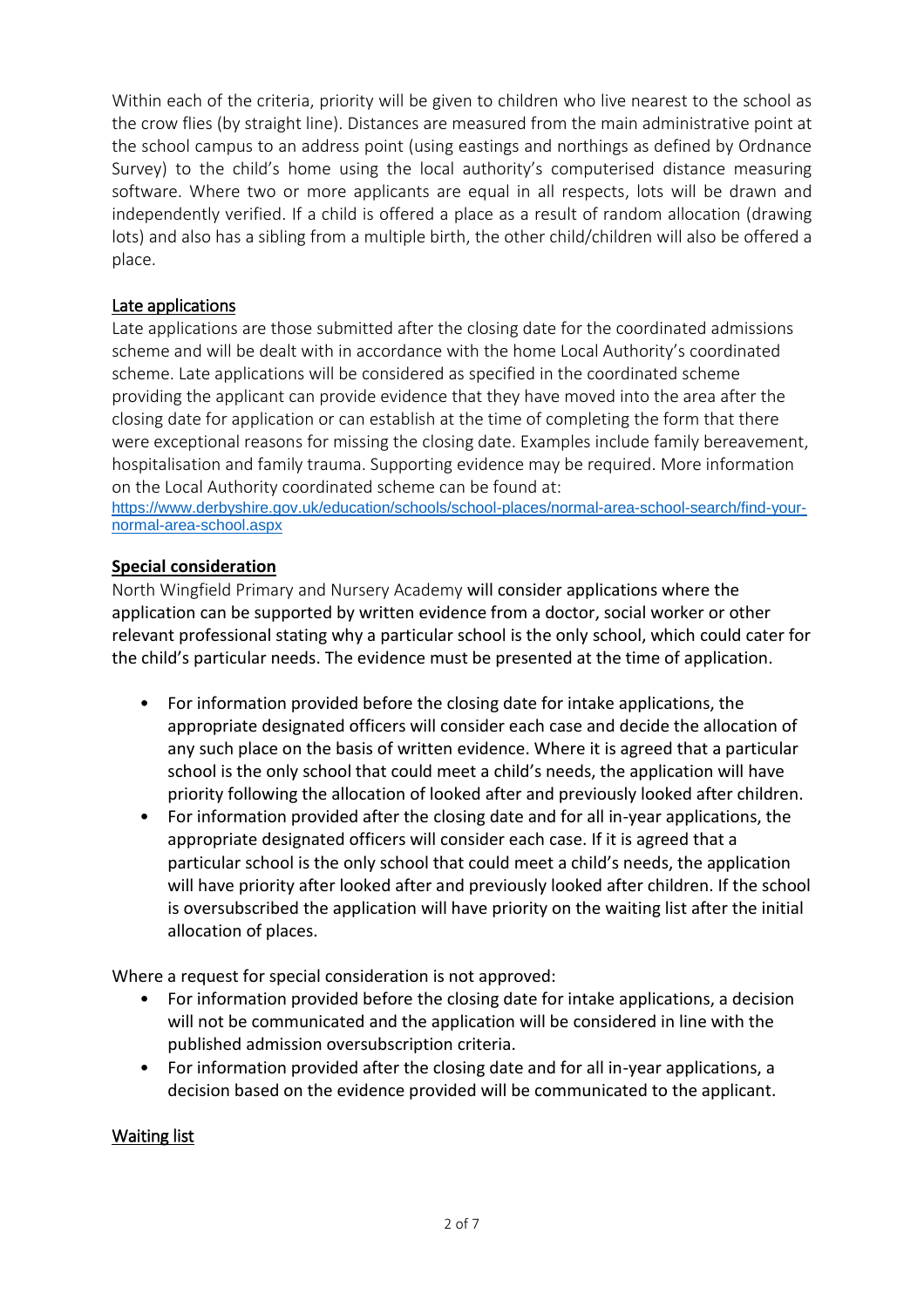Within each of the criteria, priority will be given to children who live nearest to the school as the crow flies (by straight line). Distances are measured from the main administrative point at the school campus to an address point (using eastings and northings as defined by Ordnance Survey) to the child's home using the local authority's computerised distance measuring software. Where two or more applicants are equal in all respects, lots will be drawn and independently verified. If a child is offered a place as a result of random allocation (drawing lots) and also has a sibling from a multiple birth, the other child/children will also be offered a place.

### Late applications

Late applications are those submitted after the closing date for the coordinated admissions scheme and will be dealt with in accordance with the home Local Authority's coordinated scheme. Late applications will be considered as specified in the coordinated scheme providing the applicant can provide evidence that they have moved into the area after the closing date for application or can establish at the time of completing the form that there were exceptional reasons for missing the closing date. Examples include family bereavement, hospitalisation and family trauma. Supporting evidence may be required. More information on the Local Authority coordinated scheme can be found at[:](https://www.nottinghamshire.gov.uk/education/school-admissions)

[https://www.derbyshire.gov.uk/education/schools/school-places/normal-area-school-search/find-your](https://www.derbyshire.gov.uk/education/schools/school-places/normal-area-school-search/find-your-normal-area-school.aspx)[normal-area-school.aspx](https://www.derbyshire.gov.uk/education/schools/school-places/normal-area-school-search/find-your-normal-area-school.aspx)

### **Special consideration**

North Wingfield Primary and Nursery Academy will consider applications where the application can be supported by written evidence from a doctor, social worker or other relevant professional stating why a particular school is the only school, which could cater for the child's particular needs. The evidence must be presented at the time of application.

- For information provided before the closing date for intake applications, the appropriate designated officers will consider each case and decide the allocation of any such place on the basis of written evidence. Where it is agreed that a particular school is the only school that could meet a child's needs, the application will have priority following the allocation of looked after and previously looked after children.
- For information provided after the closing date and for all in-year applications, the appropriate designated officers will consider each case. If it is agreed that a particular school is the only school that could meet a child's needs, the application will have priority after looked after and previously looked after children. If the school is oversubscribed the application will have priority on the waiting list after the initial allocation of places.

Where a request for special consideration is not approved:

- For information provided before the closing date for intake applications, a decision will not be communicated and the application will be considered in line with the published admission oversubscription criteria.
- For information provided after the closing date and for all in-year applications, a decision based on the evidence provided will be communicated to the applicant.

### Waiting list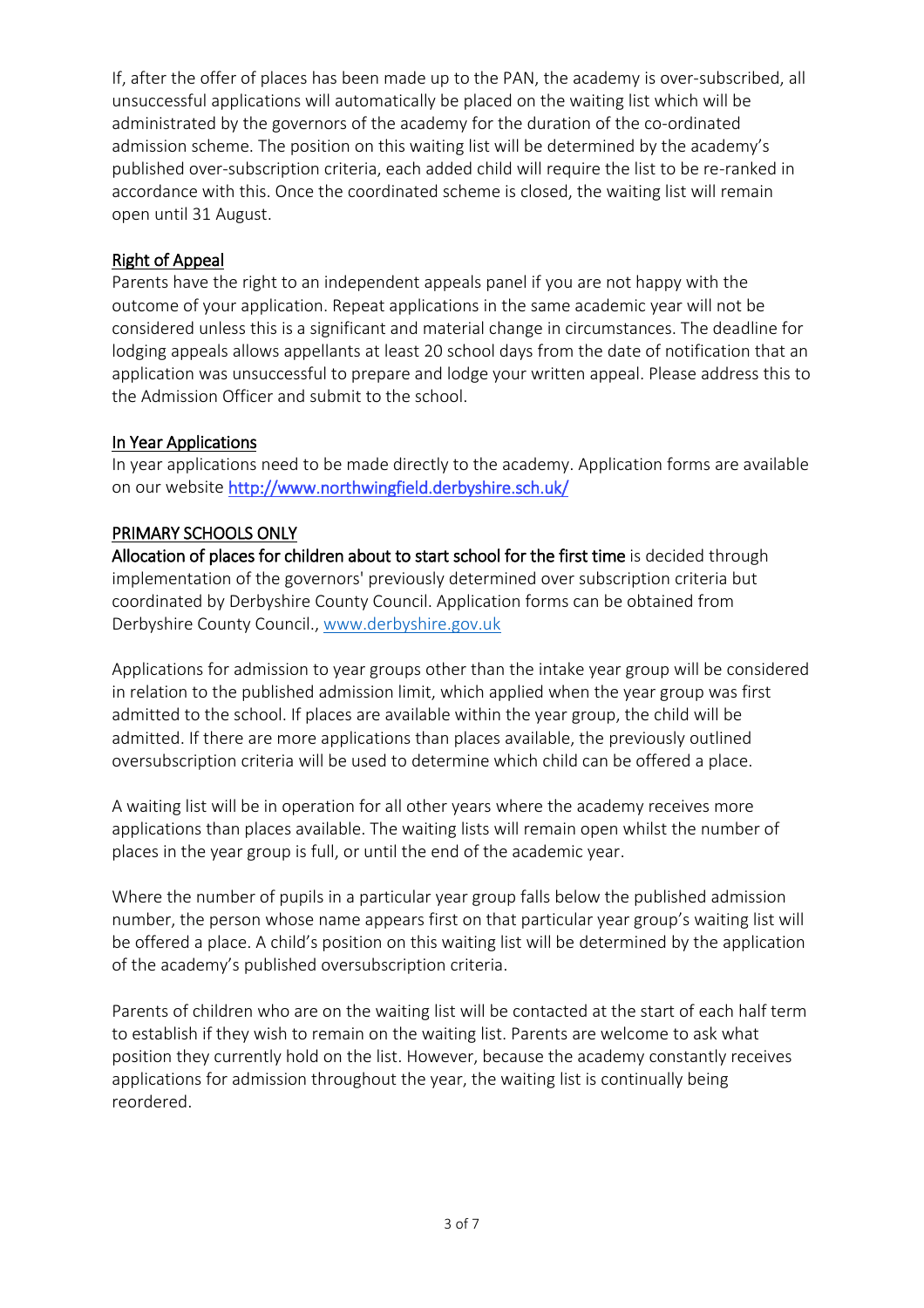If, after the offer of places has been made up to the PAN, the academy is over-subscribed, all unsuccessful applications will automatically be placed on the waiting list which will be administrated by the governors of the academy for the duration of the co-ordinated admission scheme. The position on this waiting list will be determined by the academy's published over-subscription criteria, each added child will require the list to be re-ranked in accordance with this. Once the coordinated scheme is closed, the waiting list will remain open until 31 August.

## Right of Appeal

Parents have the right to an independent appeals panel if you are not happy with the outcome of your application. Repeat applications in the same academic year will not be considered unless this is a significant and material change in circumstances. The deadline for lodging appeals allows appellants at least 20 school days from the date of notification that an application was unsuccessful to prepare and lodge your written appeal. Please address this to the Admission Officer and submit to the school.

### In Year Applications

In year applications need to be made directly to the academy. Application forms are available on our website http://www.northwingfield.derbyshire.sch.uk/

### PRIMARY SCHOOLS ONLY

Allocation of places for children about to start school for the first time is decided through implementation of the governors' previously determined over subscription criteria but coordinated by Derbyshire County Council. Application forms can be obtained from Derbyshire County Council., [www.derbyshire.gov.uk](http://www.derbyshire.gov.uk/)

Applications for admission to year groups other than the intake year group will be considered in relation to the published admission limit, which applied when the year group was first admitted to the school. If places are available within the year group, the child will be admitted. If there are more applications than places available, the previously outlined oversubscription criteria will be used to determine which child can be offered a place.

A waiting list will be in operation for all other years where the academy receives more applications than places available. The waiting lists will remain open whilst the number of places in the year group is full, or until the end of the academic year.

Where the number of pupils in a particular year group falls below the published admission number, the person whose name appears first on that particular year group's waiting list will be offered a place. A child's position on this waiting list will be determined by the application of the academy's published oversubscription criteria.

Parents of children who are on the waiting list will be contacted at the start of each half term to establish if they wish to remain on the waiting list. Parents are welcome to ask what position they currently hold on the list. However, because the academy constantly receives applications for admission throughout the year, the waiting list is continually being reordered.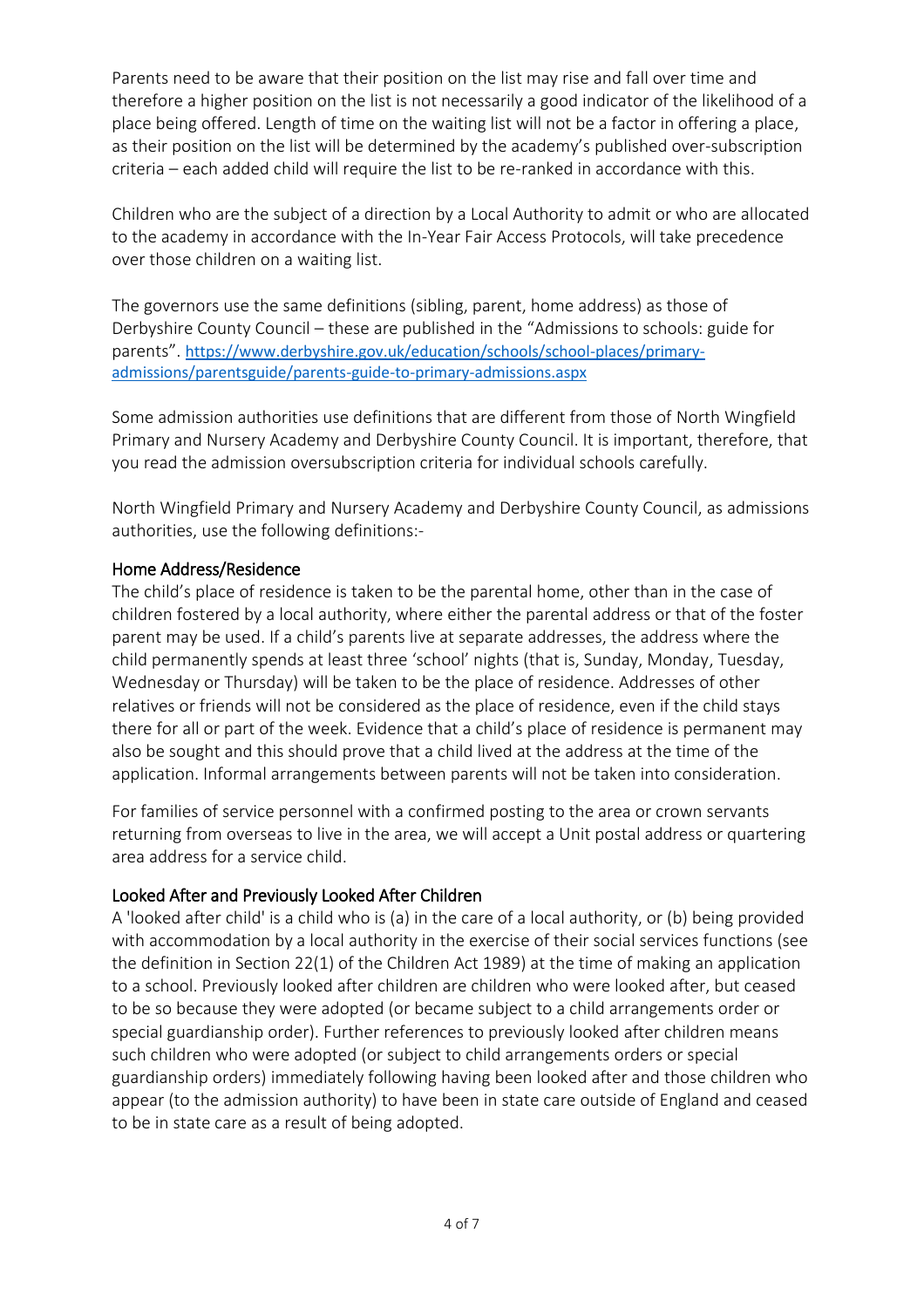Parents need to be aware that their position on the list may rise and fall over time and therefore a higher position on the list is not necessarily a good indicator of the likelihood of a place being offered. Length of time on the waiting list will not be a factor in offering a place, as their position on the list will be determined by the academy's published over-subscription criteria – each added child will require the list to be re-ranked in accordance with this.

Children who are the subject of a direction by a Local Authority to admit or who are allocated to the academy in accordance with the In-Year Fair Access Protocols, will take precedence over those children on a waiting list.

The governors use the same definitions (sibling, parent, home address) as those of Derbyshire County Council – these are published in the "Admissions to schools: guide for parents". [https://www.derbyshire.gov.uk/education/schools/school-places/primary](https://www.derbyshire.gov.uk/education/schools/school-places/primary-admissions/parentsguide/parents-guide-to-primary-admissions.aspx)[admissions/parentsguide/parents-guide-to-primary-admissions.aspx](https://www.derbyshire.gov.uk/education/schools/school-places/primary-admissions/parentsguide/parents-guide-to-primary-admissions.aspx)

Some admission authorities use definitions that are different from those of North Wingfield Primary and Nursery Academy and Derbyshire County Council. It is important, therefore, that you read the admission oversubscription criteria for individual schools carefully.

North Wingfield Primary and Nursery Academy and Derbyshire County Council, as admissions authorities, use the following definitions:-

### Home Address/Residence

The child's place of residence is taken to be the parental home, other than in the case of children fostered by a local authority, where either the parental address or that of the foster parent may be used. If a child's parents live at separate addresses, the address where the child permanently spends at least three 'school' nights (that is, Sunday, Monday, Tuesday, Wednesday or Thursday) will be taken to be the place of residence. Addresses of other relatives or friends will not be considered as the place of residence, even if the child stays there for all or part of the week. Evidence that a child's place of residence is permanent may also be sought and this should prove that a child lived at the address at the time of the application. Informal arrangements between parents will not be taken into consideration.

For families of service personnel with a confirmed posting to the area or crown servants returning from overseas to live in the area, we will accept a Unit postal address or quartering area address for a service child.

### Looked After and Previously Looked After Children

A 'looked after child' is a child who is (a) in the care of a local authority, or (b) being provided with accommodation by a local authority in the exercise of their social services functions (see the definition in Section 22(1) of the Children Act 1989) at the time of making an application to a school. Previously looked after children are children who were looked after, but ceased to be so because they were adopted (or became subject to a child arrangements order or special guardianship order). Further references to previously looked after children means such children who were adopted (or subject to child arrangements orders or special guardianship orders) immediately following having been looked after and those children who appear (to the admission authority) to have been in state care outside of England and ceased to be in state care as a result of being adopted.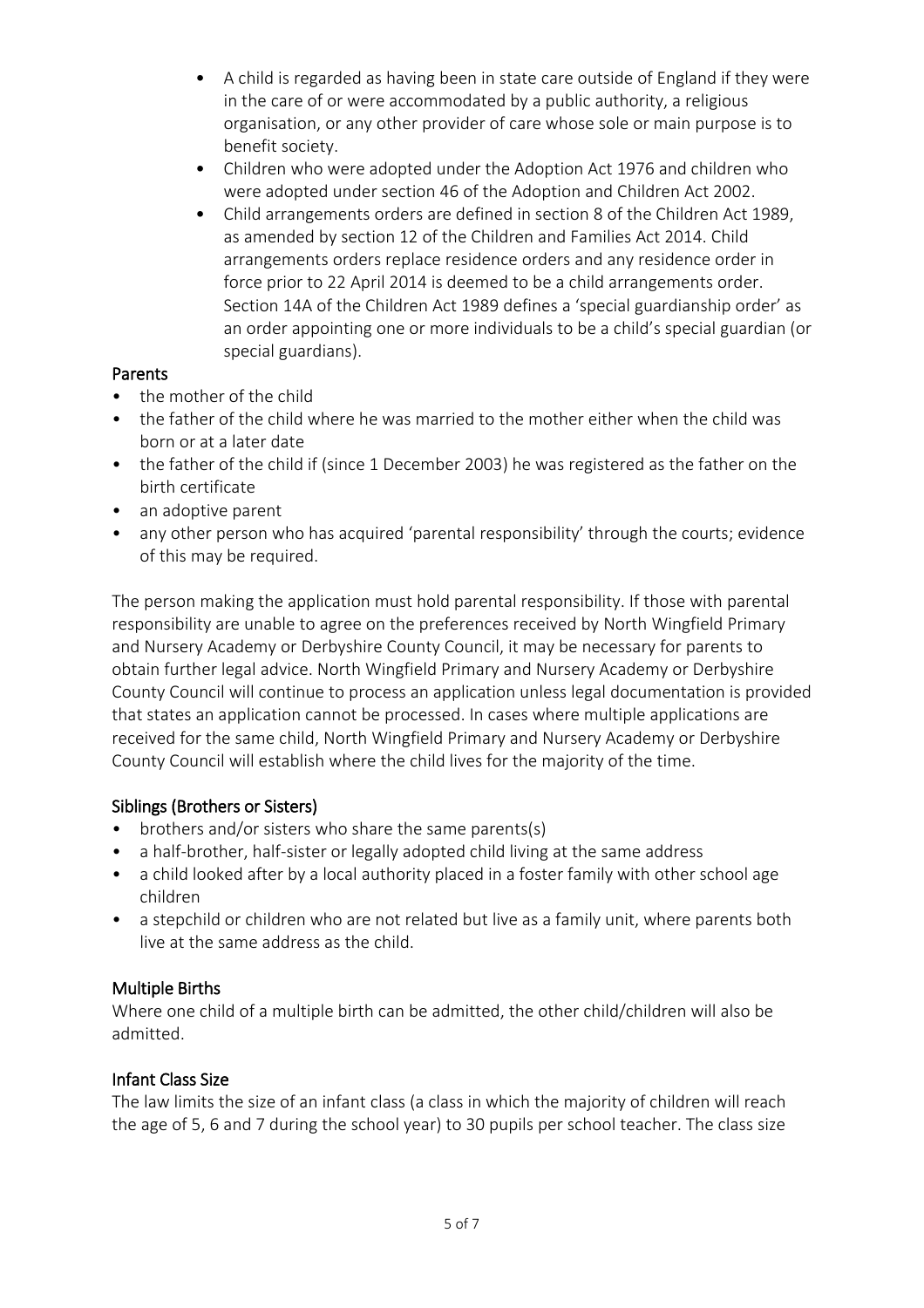- A child is regarded as having been in state care outside of England if they were in the care of or were accommodated by a public authority, a religious organisation, or any other provider of care whose sole or main purpose is to benefit society.
- Children who were adopted under the Adoption Act 1976 and children who were adopted under section 46 of the Adoption and Children Act 2002.
- Child arrangements orders are defined in section 8 of the Children Act 1989, as amended by section 12 of the Children and Families Act 2014. Child arrangements orders replace residence orders and any residence order in force prior to 22 April 2014 is deemed to be a child arrangements order. Section 14A of the Children Act 1989 defines a 'special guardianship order' as an order appointing one or more individuals to be a child's special guardian (or special guardians).

## Parents

- the mother of the child
- the father of the child where he was married to the mother either when the child was born or at a later date
- the father of the child if (since 1 December 2003) he was registered as the father on the birth certificate
- an adoptive parent
- any other person who has acquired 'parental responsibility' through the courts; evidence of this may be required.

The person making the application must hold parental responsibility. If those with parental responsibility are unable to agree on the preferences received by North Wingfield Primary and Nursery Academy or Derbyshire County Council, it may be necessary for parents to obtain further legal advice. North Wingfield Primary and Nursery Academy or Derbyshire County Council will continue to process an application unless legal documentation is provided that states an application cannot be processed. In cases where multiple applications are received for the same child, North Wingfield Primary and Nursery Academy or Derbyshire County Council will establish where the child lives for the majority of the time.

### Siblings (Brothers or Sisters)

- brothers and/or sisters who share the same parents(s)
- a half-brother, half-sister or legally adopted child living at the same address
- a child looked after by a local authority placed in a foster family with other school age children
- a stepchild or children who are not related but live as a family unit, where parents both live at the same address as the child.

### Multiple Births

Where one child of a multiple birth can be admitted, the other child/children will also be admitted.

### Infant Class Size

The law limits the size of an infant class (a class in which the majority of children will reach the age of 5, 6 and 7 during the school year) to 30 pupils per school teacher. The class size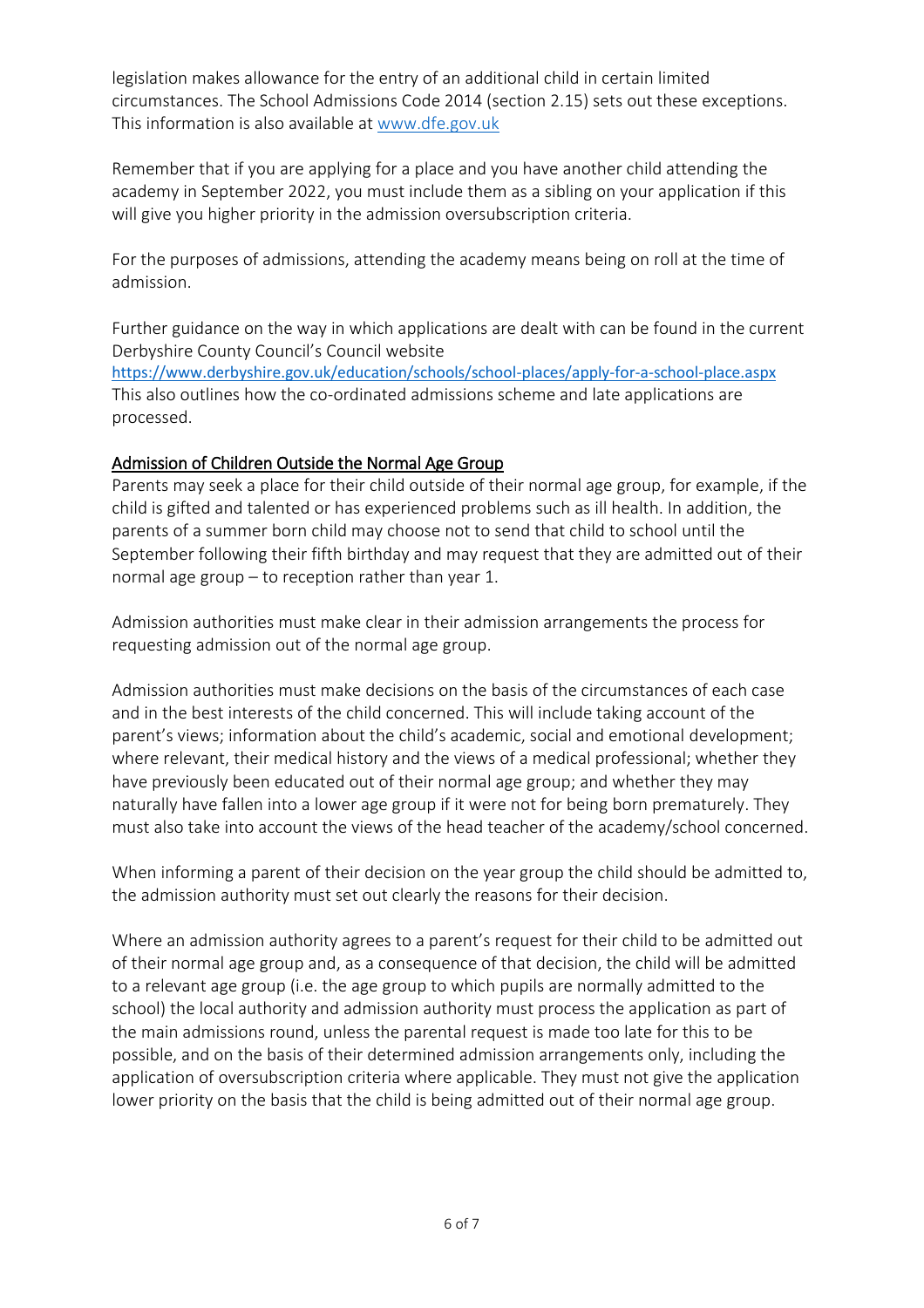legislation makes allowance for the entry of an additional child in certain limited circumstances. The School Admissions Code 2014 (section 2.15) sets out these exceptions. This information is also available at [www.dfe.gov.uk](http://www.dfe.gov.uk/)

Remember that if you are applying for a place and you have another child attending the academy in September 2022, you must include them as a sibling on your application if this will give you higher priority in the admission oversubscription criteria.

For the purposes of admissions, attending the academy means being on roll at the time of admission.

Further guidance on the way in which applications are dealt with can be found in the current Derbyshire County Council's Council website

<https://www.derbyshire.gov.uk/education/schools/school-places/apply-for-a-school-place.aspx> This also outlines how the co-ordinated admissions scheme and late applications are processed.

## Admission of Children Outside the Normal Age Group

Parents may seek a place for their child outside of their normal age group, for example, if the child is gifted and talented or has experienced problems such as ill health. In addition, the parents of a summer born child may choose not to send that child to school until the September following their fifth birthday and may request that they are admitted out of their normal age group – to reception rather than year 1.

Admission authorities must make clear in their admission arrangements the process for requesting admission out of the normal age group.

Admission authorities must make decisions on the basis of the circumstances of each case and in the best interests of the child concerned. This will include taking account of the parent's views; information about the child's academic, social and emotional development; where relevant, their medical history and the views of a medical professional; whether they have previously been educated out of their normal age group; and whether they may naturally have fallen into a lower age group if it were not for being born prematurely. They must also take into account the views of the head teacher of the academy/school concerned.

When informing a parent of their decision on the year group the child should be admitted to, the admission authority must set out clearly the reasons for their decision.

Where an admission authority agrees to a parent's request for their child to be admitted out of their normal age group and, as a consequence of that decision, the child will be admitted to a relevant age group (i.e. the age group to which pupils are normally admitted to the school) the local authority and admission authority must process the application as part of the main admissions round, unless the parental request is made too late for this to be possible, and on the basis of their determined admission arrangements only, including the application of oversubscription criteria where applicable. They must not give the application lower priority on the basis that the child is being admitted out of their normal age group.